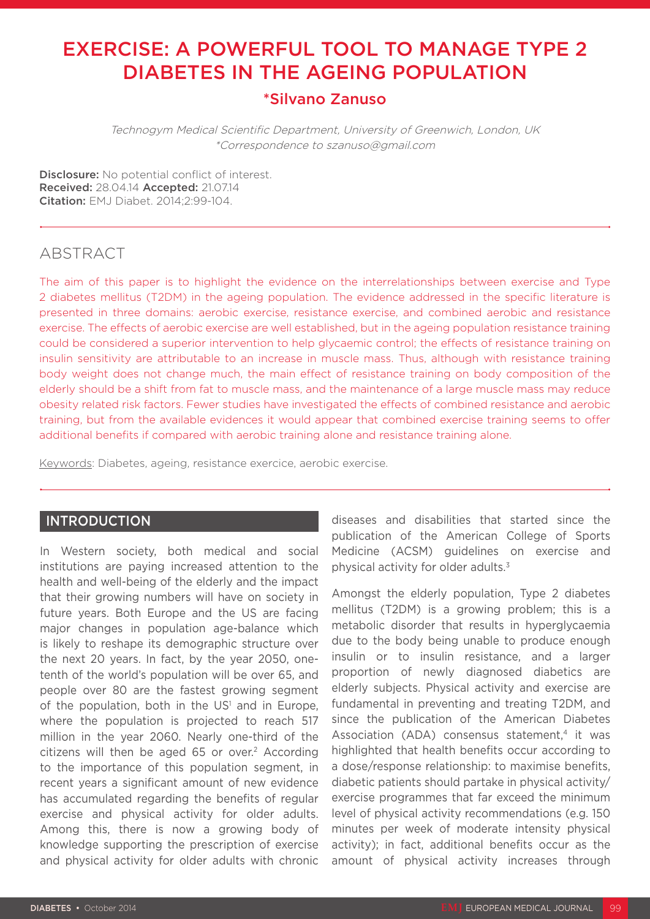# EXERCISE: A POWERFUL TOOL TO MANAGE TYPE 2 DIABETES IN THE AGEING POPULATION

# \*Silvano Zanuso

Technogym Medical Scientific Department, University of Greenwich, London, UK \*Correspondence to szanuso@gmail.com

Disclosure: No potential conflict of interest. Received: 28.04.14 Accepted: 21.07.14 Citation: EMJ Diabet. 2014;2:99-104.

## ABSTRACT

The aim of this paper is to highlight the evidence on the interrelationships between exercise and Type 2 diabetes mellitus (T2DM) in the ageing population. The evidence addressed in the specific literature is presented in three domains: aerobic exercise, resistance exercise, and combined aerobic and resistance exercise. The effects of aerobic exercise are well established, but in the ageing population resistance training could be considered a superior intervention to help glycaemic control; the effects of resistance training on insulin sensitivity are attributable to an increase in muscle mass. Thus, although with resistance training body weight does not change much, the main effect of resistance training on body composition of the elderly should be a shift from fat to muscle mass, and the maintenance of a large muscle mass may reduce obesity related risk factors. Fewer studies have investigated the effects of combined resistance and aerobic training, but from the available evidences it would appear that combined exercise training seems to offer additional benefits if compared with aerobic training alone and resistance training alone.

Keywords: Diabetes, ageing, resistance exercice, aerobic exercise.

### INTRODUCTION

In Western society, both medical and social institutions are paying increased attention to the health and well-being of the elderly and the impact that their growing numbers will have on society in future years. Both Europe and the US are facing major changes in population age-balance which is likely to reshape its demographic structure over the next 20 years. In fact, by the year 2050, onetenth of the world's population will be over 65, and people over 80 are the fastest growing segment of the population, both in the  $US<sup>1</sup>$  and in Europe, where the population is projected to reach 517 million in the year 2060. Nearly one-third of the citizens will then be aged 65 or over.<sup>2</sup> According to the importance of this population segment, in recent years a significant amount of new evidence has accumulated regarding the benefits of regular exercise and physical activity for older adults. Among this, there is now a growing body of knowledge supporting the prescription of exercise and physical activity for older adults with chronic

diseases and disabilities that started since the publication of the American College of Sports Medicine (ACSM) guidelines on exercise and physical activity for older adults.3

Amongst the elderly population, Type 2 diabetes mellitus (T2DM) is a growing problem; this is a metabolic disorder that results in hyperglycaemia due to the body being unable to produce enough insulin or to insulin resistance, and a larger proportion of newly diagnosed diabetics are elderly subjects. Physical activity and exercise are fundamental in preventing and treating T2DM, and since the publication of the American Diabetes Association (ADA) consensus statement, $4$  it was highlighted that health benefits occur according to a dose/response relationship: to maximise benefits, diabetic patients should partake in physical activity/ exercise programmes that far exceed the minimum level of physical activity recommendations (e.g. 150 minutes per week of moderate intensity physical activity); in fact, additional benefits occur as the amount of physical activity increases through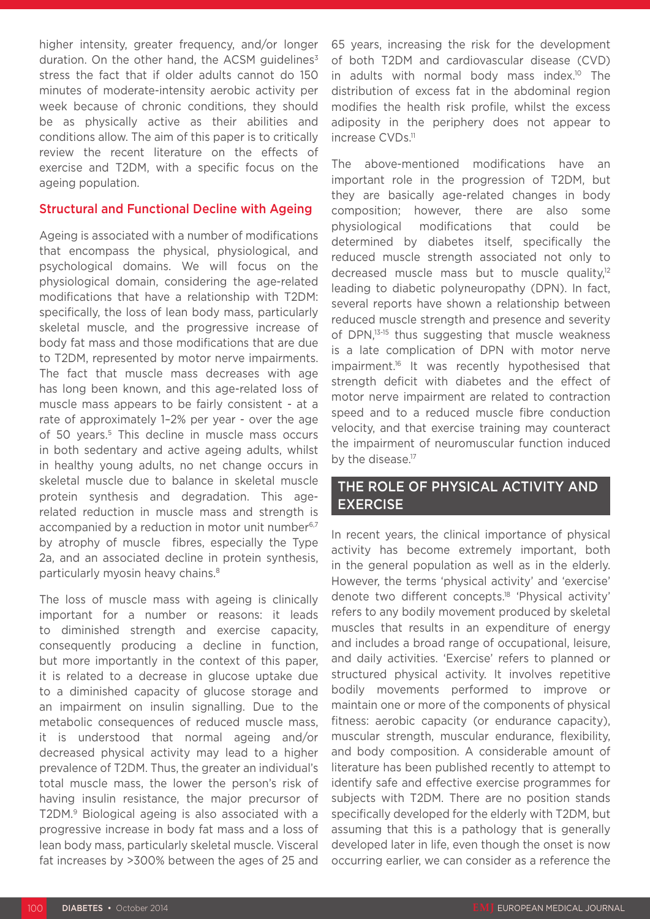higher intensity, greater frequency, and/or longer duration. On the other hand, the ACSM guidelines $3$ stress the fact that if older adults cannot do 150 minutes of moderate-intensity aerobic activity per week because of chronic conditions, they should be as physically active as their abilities and conditions allow. The aim of this paper is to critically review the recent literature on the effects of exercise and T2DM, with a specific focus on the ageing population.

#### Structural and Functional Decline with Ageing

Ageing is associated with a number of modifications that encompass the physical, physiological, and psychological domains. We will focus on the physiological domain, considering the age-related modifications that have a relationship with T2DM: specifically, the loss of lean body mass, particularly skeletal muscle, and the progressive increase of body fat mass and those modifications that are due to T2DM, represented by motor nerve impairments. The fact that muscle mass decreases with age has long been known, and this age-related loss of muscle mass appears to be fairly consistent - at a rate of approximately 1–2% per year - over the age of 50 years.<sup>5</sup> This decline in muscle mass occurs in both sedentary and active ageing adults, whilst in healthy young adults, no net change occurs in skeletal muscle due to balance in skeletal muscle protein synthesis and degradation. This agerelated reduction in muscle mass and strength is accompanied by a reduction in motor unit number<sup>6,7</sup> by atrophy of muscle fibres, especially the Type 2a, and an associated decline in protein synthesis, particularly myosin heavy chains.<sup>8</sup>

The loss of muscle mass with ageing is clinically important for a number or reasons: it leads to diminished strength and exercise capacity, consequently producing a decline in function, but more importantly in the context of this paper, it is related to a decrease in glucose uptake due to a diminished capacity of glucose storage and an impairment on insulin signalling. Due to the metabolic consequences of reduced muscle mass, it is understood that normal ageing and/or decreased physical activity may lead to a higher prevalence of T2DM. Thus, the greater an individual's total muscle mass, the lower the person's risk of having insulin resistance, the major precursor of T2DM.9 Biological ageing is also associated with a progressive increase in body fat mass and a loss of lean body mass, particularly skeletal muscle. Visceral fat increases by >300% between the ages of 25 and 65 years, increasing the risk for the development of both T2DM and cardiovascular disease (CVD) in adults with normal body mass index.10 The distribution of excess fat in the abdominal region modifies the health risk profile, whilst the excess adiposity in the periphery does not appear to increase CVDs.<sup>11</sup>

The above-mentioned modifications have an important role in the progression of T2DM, but they are basically age-related changes in body composition; however, there are also some physiological modifications that could be determined by diabetes itself, specifically the reduced muscle strength associated not only to decreased muscle mass but to muscle quality,<sup>12</sup> leading to diabetic polyneuropathy (DPN). In fact, several reports have shown a relationship between reduced muscle strength and presence and severity of DPN,13-15 thus suggesting that muscle weakness is a late complication of DPN with motor nerve impairment.16 It was recently hypothesised that strength deficit with diabetes and the effect of motor nerve impairment are related to contraction speed and to a reduced muscle fibre conduction velocity, and that exercise training may counteract the impairment of neuromuscular function induced by the disease.<sup>17</sup>

## THE ROLE OF PHYSICAL ACTIVITY AND **EXERCISE**

In recent years, the clinical importance of physical activity has become extremely important, both in the general population as well as in the elderly. However, the terms 'physical activity' and 'exercise' denote two different concepts.18 'Physical activity' refers to any bodily movement produced by skeletal muscles that results in an expenditure of energy and includes a broad range of occupational, leisure, and daily activities. 'Exercise' refers to planned or structured physical activity. It involves repetitive bodily movements performed to improve or maintain one or more of the components of physical fitness: aerobic capacity (or endurance capacity), muscular strength, muscular endurance, flexibility, and body composition. A considerable amount of literature has been published recently to attempt to identify safe and effective exercise programmes for subjects with T2DM. There are no position stands specifically developed for the elderly with T2DM, but assuming that this is a pathology that is generally developed later in life, even though the onset is now occurring earlier, we can consider as a reference the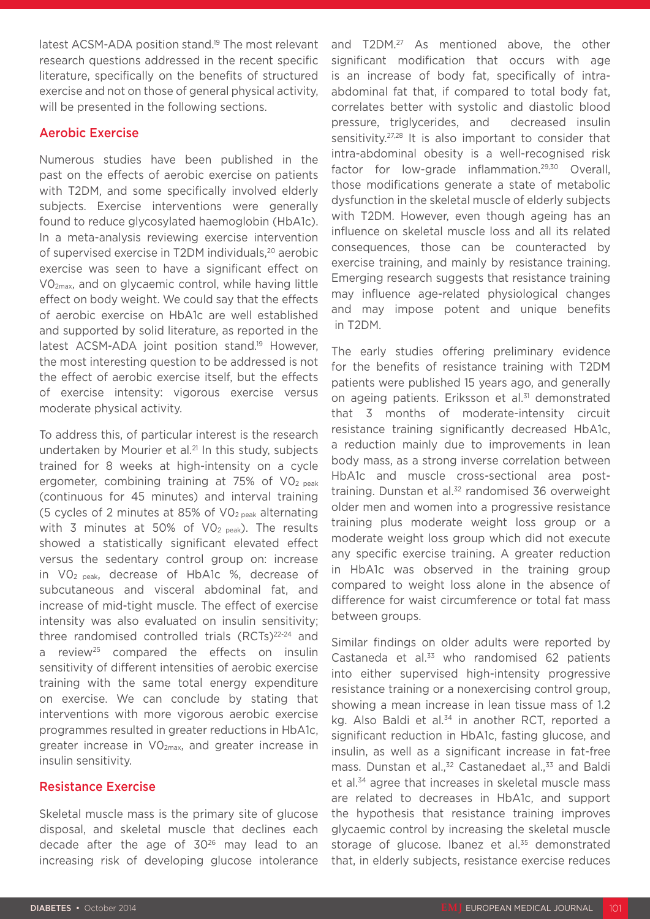latest ACSM-ADA position stand.<sup>19</sup> The most relevant research questions addressed in the recent specific literature, specifically on the benefits of structured exercise and not on those of general physical activity, will be presented in the following sections.

#### Aerobic Exercise

Numerous studies have been published in the past on the effects of aerobic exercise on patients with T2DM, and some specifically involved elderly subjects. Exercise interventions were generally found to reduce glycosylated haemoglobin (HbA1c). In a meta-analysis reviewing exercise intervention of supervised exercise in T2DM individuals,20 aerobic exercise was seen to have a significant effect on V02max, and on glycaemic control, while having little effect on body weight. We could say that the effects of aerobic exercise on HbA1c are well established and supported by solid literature, as reported in the latest ACSM-ADA joint position stand.<sup>19</sup> However, the most interesting question to be addressed is not the effect of aerobic exercise itself, but the effects of exercise intensity: vigorous exercise versus moderate physical activity.

To address this, of particular interest is the research undertaken by Mourier et al.21 In this study, subjects trained for 8 weeks at high-intensity on a cycle ergometer, combining training at 75% of  $VO<sub>2 peak</sub>$ (continuous for 45 minutes) and interval training (5 cycles of 2 minutes at 85% of  $VO<sub>2 peak</sub>$  alternating with 3 minutes at 50% of  $VO<sub>2 peak</sub>$ ). The results showed a statistically significant elevated effect versus the sedentary control group on: increase in V02 peak, decrease of HbA1c %, decrease of subcutaneous and visceral abdominal fat, and increase of mid-tight muscle. The effect of exercise intensity was also evaluated on insulin sensitivity; three randomised controlled trials  $(RCTs)^{22-24}$  and a review<sup>25</sup> compared the effects on insulin sensitivity of different intensities of aerobic exercise training with the same total energy expenditure on exercise. We can conclude by stating that interventions with more vigorous aerobic exercise programmes resulted in greater reductions in HbA1c, greater increase in V02max, and greater increase in insulin sensitivity.

#### Resistance Exercise

Skeletal muscle mass is the primary site of glucose disposal, and skeletal muscle that declines each decade after the age of 3026 may lead to an increasing risk of developing glucose intolerance

and T2DM.<sup>27</sup> As mentioned above, the other significant modification that occurs with age is an increase of body fat, specifically of intraabdominal fat that, if compared to total body fat, correlates better with systolic and diastolic blood pressure, triglycerides, and decreased insulin sensitivity.<sup>27,28</sup> It is also important to consider that intra-abdominal obesity is a well-recognised risk factor for low-grade inflammation.29,30 Overall, those modifications generate a state of metabolic dysfunction in the skeletal muscle of elderly subjects with T2DM. However, even though ageing has an influence on skeletal muscle loss and all its related consequences, those can be counteracted by exercise training, and mainly by resistance training. Emerging research suggests that resistance training may influence age-related physiological changes and may impose potent and unique benefits in T2DM.

The early studies offering preliminary evidence for the benefits of resistance training with T2DM patients were published 15 years ago, and generally on ageing patients. Eriksson et al.<sup>31</sup> demonstrated that 3 months of moderate-intensity circuit resistance training significantly decreased HbA1c, a reduction mainly due to improvements in lean body mass, as a strong inverse correlation between HbA1c and muscle cross-sectional area posttraining. Dunstan et al.<sup>32</sup> randomised 36 overweight older men and women into a progressive resistance training plus moderate weight loss group or a moderate weight loss group which did not execute any specific exercise training. A greater reduction in HbA1c was observed in the training group compared to weight loss alone in the absence of difference for waist circumference or total fat mass between groups.

Similar findings on older adults were reported by Castaneda et al.<sup>33</sup> who randomised 62 patients into either supervised high-intensity progressive resistance training or a nonexercising control group, showing a mean increase in lean tissue mass of 1.2 kg. Also Baldi et al.<sup>34</sup> in another RCT, reported a significant reduction in HbA1c, fasting glucose, and insulin, as well as a significant increase in fat-free mass. Dunstan et al.,<sup>32</sup> Castanedaet al.,<sup>33</sup> and Baldi et al.<sup>34</sup> agree that increases in skeletal muscle mass are related to decreases in HbA1c, and support the hypothesis that resistance training improves glycaemic control by increasing the skeletal muscle storage of glucose. Ibanez et al.<sup>35</sup> demonstrated that, in elderly subjects, resistance exercise reduces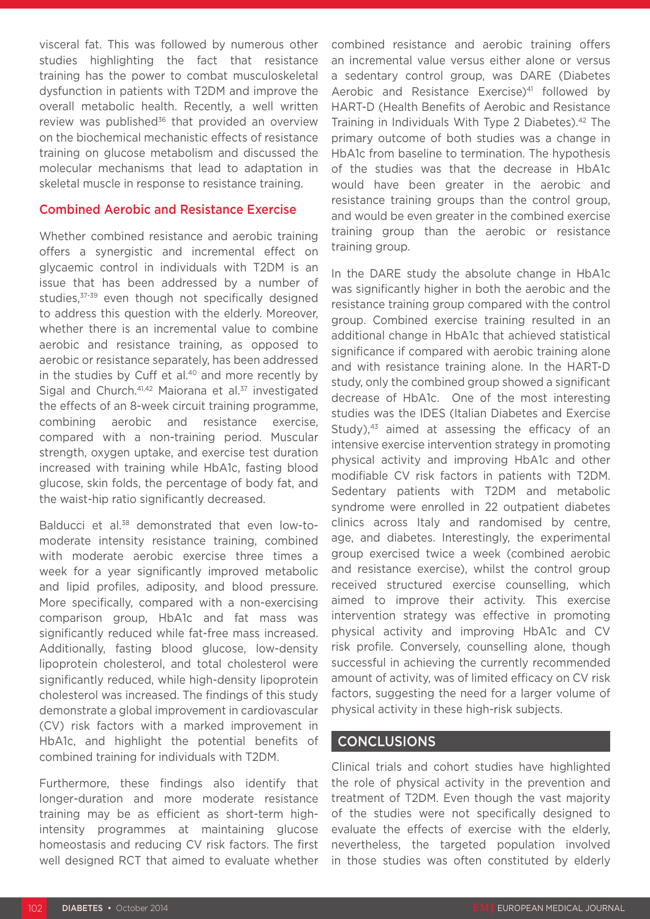visceral fat. This was followed by numerous other studies highlighting the fact that resistance training has the power to combat musculoskeletal dysfunction in patients with T2DM and improve the overall metabolic health. Recently, a well written review was published<sup>36</sup> that provided an overview on the biochemical mechanistic effects of resistance training on glucose metabolism and discussed the molecular mechanisms that lead to adaptation in skeletal muscle in response to resistance training.

#### Combined Aerobic and Resistance Exercise

Whether combined resistance and aerobic training offers a synergistic and incremental effect on glycaemic control in individuals with T2DM is an issue that has been addressed by a number of studies,<sup>37-39</sup> even though not specifically designed to address this question with the elderly. Moreover, whether there is an incremental value to combine aerobic and resistance training, as opposed to aerobic or resistance separately, has been addressed in the studies by Cuff et al. $40$  and more recently by Sigal and Church.<sup>41,42</sup> Maiorana et al.<sup>37</sup> investigated the effects of an 8-week circuit training programme, combining aerobic and resistance exercise, compared with a non-training period. Muscular strength, oxygen uptake, and exercise test duration increased with training while HbA1c, fasting blood glucose, skin folds, the percentage of body fat, and the waist-hip ratio significantly decreased.

Balducci et al.<sup>38</sup> demonstrated that even low-tomoderate intensity resistance training, combined with moderate aerobic exercise three times a week for a year significantly improved metabolic and lipid profiles, adiposity, and blood pressure. More specifically, compared with a non-exercising comparison group, HbA1c and fat mass was significantly reduced while fat-free mass increased. Additionally, fasting blood glucose, low-density lipoprotein cholesterol, and total cholesterol were significantly reduced, while high-density lipoprotein cholesterol was increased. The findings of this study demonstrate a global improvement in cardiovascular (CV) risk factors with a marked improvement in HbA1c, and highlight the potential benefits of combined training for individuals with T2DM.

Furthermore, these findings also identify that longer-duration and more moderate resistance training may be as efficient as short-term highintensity programmes at maintaining glucose homeostasis and reducing CV risk factors. The first well designed RCT that aimed to evaluate whether combined resistance and aerobic training offers an incremental value versus either alone or versus a sedentary control group, was DARE (Diabetes Aerobic and Resistance Exercise)<sup>41</sup> followed by HART-D (Health Benefits of Aerobic and Resistance Training in Individuals With Type 2 Diabetes).42 The primary outcome of both studies was a change in HbA1c from baseline to termination. The hypothesis of the studies was that the decrease in HbA1c would have been greater in the aerobic and resistance training groups than the control group, and would be even greater in the combined exercise training group than the aerobic or resistance training group.

In the DARE study the absolute change in HbA1c was significantly higher in both the aerobic and the resistance training group compared with the control group. Combined exercise training resulted in an additional change in HbA1c that achieved statistical significance if compared with aerobic training alone and with resistance training alone. In the HART-D study, only the combined group showed a significant decrease of HbA1c. One of the most interesting studies was the IDES (Italian Diabetes and Exercise Study), $43$  aimed at assessing the efficacy of an intensive exercise intervention strategy in promoting physical activity and improving HbA1c and other modifiable CV risk factors in patients with T2DM. Sedentary patients with T2DM and metabolic syndrome were enrolled in 22 outpatient diabetes clinics across Italy and randomised by centre, age, and diabetes. Interestingly, the experimental group exercised twice a week (combined aerobic and resistance exercise), whilst the control group received structured exercise counselling, which aimed to improve their activity. This exercise intervention strategy was effective in promoting physical activity and improving HbA1c and CV risk profile. Conversely, counselling alone, though successful in achieving the currently recommended amount of activity, was of limited efficacy on CV risk factors, suggesting the need for a larger volume of physical activity in these high-risk subjects.

### **CONCLUSIONS**

Clinical trials and cohort studies have highlighted the role of physical activity in the prevention and treatment of T2DM. Even though the vast majority of the studies were not specifically designed to evaluate the effects of exercise with the elderly, nevertheless, the targeted population involved in those studies was often constituted by elderly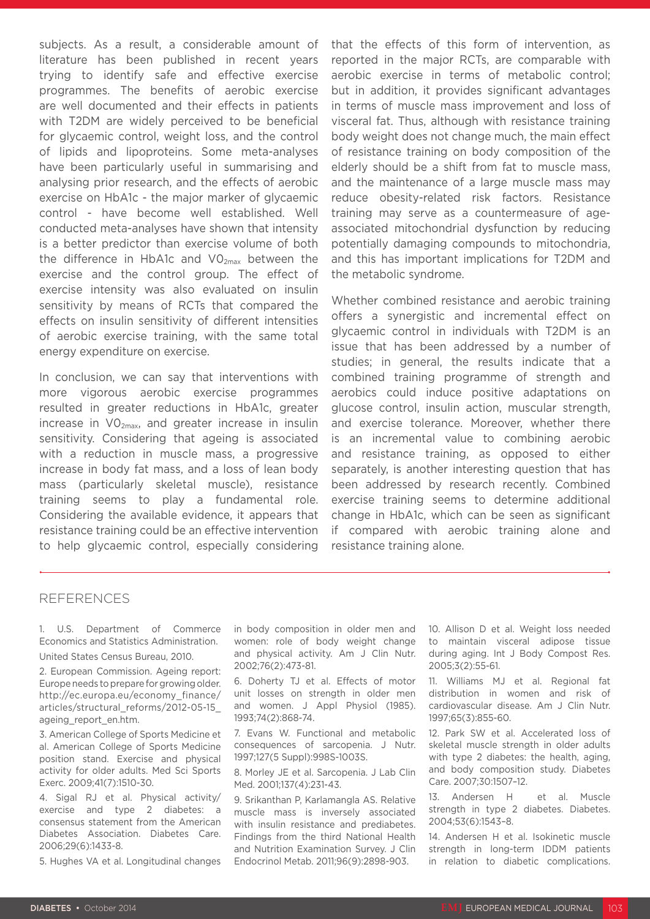subjects. As a result, a considerable amount of literature has been published in recent years trying to identify safe and effective exercise programmes. The benefits of aerobic exercise are well documented and their effects in patients with T2DM are widely perceived to be beneficial for glycaemic control, weight loss, and the control of lipids and lipoproteins. Some meta-analyses have been particularly useful in summarising and analysing prior research, and the effects of aerobic exercise on HbA1c - the major marker of glycaemic control - have become well established. Well conducted meta-analyses have shown that intensity is a better predictor than exercise volume of both the difference in HbA1c and  $VO<sub>2max</sub>$  between the exercise and the control group. The effect of exercise intensity was also evaluated on insulin sensitivity by means of RCTs that compared the effects on insulin sensitivity of different intensities of aerobic exercise training, with the same total energy expenditure on exercise.

In conclusion, we can say that interventions with more vigorous aerobic exercise programmes resulted in greater reductions in HbA1c, greater increase in V02max, and greater increase in insulin sensitivity. Considering that ageing is associated with a reduction in muscle mass, a progressive increase in body fat mass, and a loss of lean body mass (particularly skeletal muscle), resistance training seems to play a fundamental role. Considering the available evidence, it appears that resistance training could be an effective intervention to help glycaemic control, especially considering

that the effects of this form of intervention, as reported in the major RCTs, are comparable with aerobic exercise in terms of metabolic control; but in addition, it provides significant advantages in terms of muscle mass improvement and loss of visceral fat. Thus, although with resistance training body weight does not change much, the main effect of resistance training on body composition of the elderly should be a shift from fat to muscle mass, and the maintenance of a large muscle mass may reduce obesity-related risk factors. Resistance training may serve as a countermeasure of ageassociated mitochondrial dysfunction by reducing potentially damaging compounds to mitochondria, and this has important implications for T2DM and the metabolic syndrome.

Whether combined resistance and aerobic training offers a synergistic and incremental effect on glycaemic control in individuals with T2DM is an issue that has been addressed by a number of studies; in general, the results indicate that a combined training programme of strength and aerobics could induce positive adaptations on glucose control, insulin action, muscular strength, and exercise tolerance. Moreover, whether there is an incremental value to combining aerobic and resistance training, as opposed to either separately, is another interesting question that has been addressed by research recently. Combined exercise training seems to determine additional change in HbA1c, which can be seen as significant if compared with aerobic training alone and resistance training alone.

#### REFERENCES

1. U.S. Department of Commerce Economics and Statistics Administration. United States Census Bureau, 2010.

2. European Commission. Ageing report: Europe needs to prepare for growing older. http://ec.europa.eu/economy\_finance/ articles/structural\_reforms/2012-05-15\_ ageing\_report\_en.htm.

3. American College of Sports Medicine et al. American College of Sports Medicine position stand. Exercise and physical activity for older adults. Med Sci Sports Exerc. 2009;41(7):1510-30.

4. Sigal RJ et al. Physical activity/ exercise and type 2 diabetes: a consensus statement from the American Diabetes Association. Diabetes Care. 2006;29(6):1433-8.

5. Hughes VA et al. Longitudinal changes

in body composition in older men and women: role of body weight change and physical activity. Am J Clin Nutr. 2002;76(2):473-81.

6. Doherty TJ et al. Effects of motor unit losses on strength in older men and women. J Appl Physiol (1985). 1993;74(2):868-74.

7. Evans W. Functional and metabolic consequences of sarcopenia. J Nutr. 1997;127(5 Suppl):998S-1003S.

8. Morley JE et al. Sarcopenia. J Lab Clin Med. 2001;137(4):231-43.

9. Srikanthan P, Karlamangla AS. Relative muscle mass is inversely associated with insulin resistance and prediabetes. Findings from the third National Health and Nutrition Examination Survey. J Clin Endocrinol Metab. 2011;96(9):2898-903.

10. Allison D et al. Weight loss needed to maintain visceral adipose tissue during aging. Int J Body Compost Res. 2005;3(2):55-61.

11. Williams MJ et al. Regional fat distribution in women and risk of cardiovascular disease. Am J Clin Nutr. 1997;65(3):855-60.

12. Park SW et al. Accelerated loss of skeletal muscle strength in older adults with type 2 diabetes: the health, aging, and body composition study. Diabetes Care. 2007;30:1507–12.

13. Andersen H et al. Muscle strength in type 2 diabetes. Diabetes. 2004;53(6):1543–8.

14. Andersen H et al. Isokinetic muscle strength in long-term IDDM patients in relation to diabetic complications.